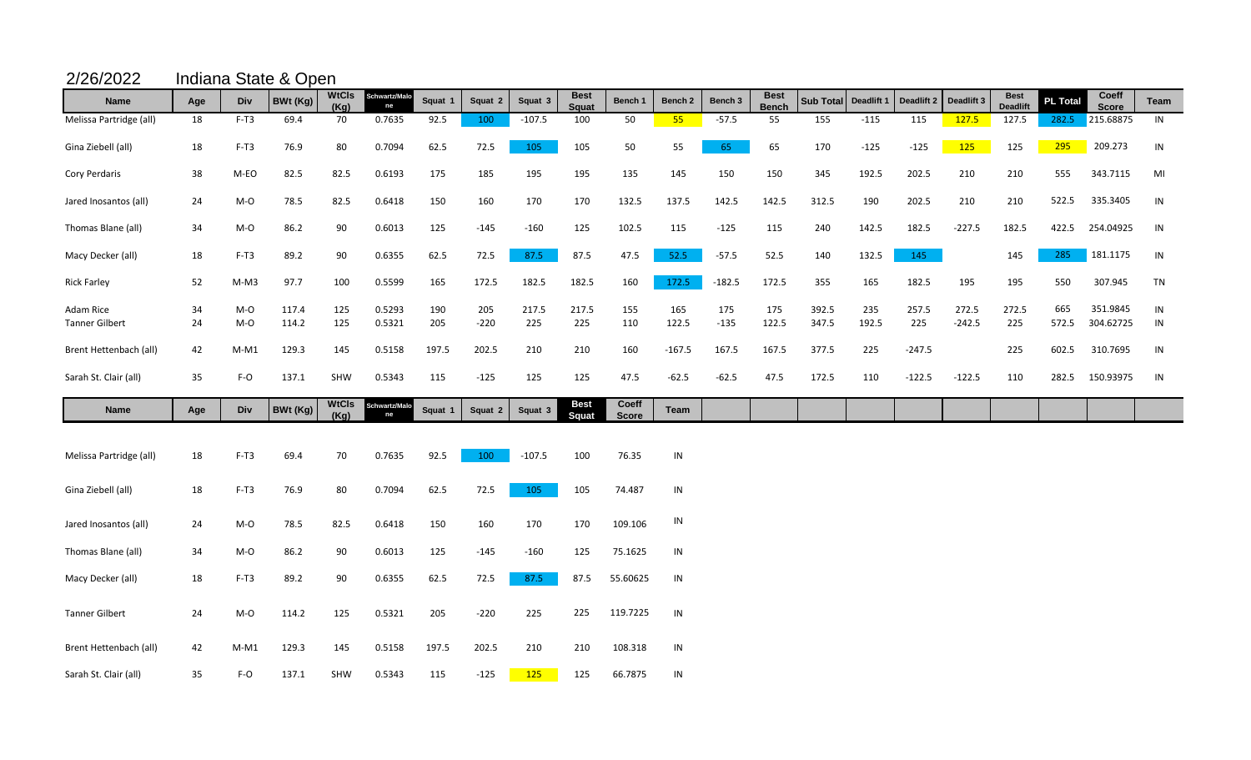| 2/26/2022               | Indiana State & Open |        |                 |                      |                     |         |         |          |                             |                       |          |          |                             |                  |            |            |            |                                |                 |                       |      |
|-------------------------|----------------------|--------|-----------------|----------------------|---------------------|---------|---------|----------|-----------------------------|-----------------------|----------|----------|-----------------------------|------------------|------------|------------|------------|--------------------------------|-----------------|-----------------------|------|
| <b>Name</b>             | Age                  | Div    | <b>BWt (Kg)</b> | <b>WtCls</b><br>(Kg) | Schwartz/Malo<br>ne | Squat 1 | Squat 2 | Squat 3  | <b>Best</b><br><b>Squat</b> | Bench 1               | Bench 2  | Bench 3  | <b>Best</b><br><b>Bench</b> | <b>Sub Total</b> | Deadlift 1 | Deadlift 2 | Deadlift 3 | <b>Best</b><br><b>Deadlift</b> | <b>PL Total</b> | Coeff<br><b>Score</b> | Team |
| Melissa Partridge (all) | 18                   | $F-T3$ | 69.4            | 70                   | 0.7635              | 92.5    | 100     | $-107.5$ | 100                         | 50                    | 55       | $-57.5$  | 55                          | 155              | $-115$     | 115        | 127.5      | 127.5                          | 282.5           | 215.68875             | IN   |
| Gina Ziebell (all)      | 18                   | $F-T3$ | 76.9            | 80                   | 0.7094              | 62.5    | 72.5    | 105      | 105                         | 50                    | 55       | 65       | 65                          | 170              | $-125$     | $-125$     | 125        | 125                            | 295             | 209.273               | IN   |
| Cory Perdaris           | 38                   | M-EO   | 82.5            | 82.5                 | 0.6193              | 175     | 185     | 195      | 195                         | 135                   | 145      | 150      | 150                         | 345              | 192.5      | 202.5      | 210        | 210                            | 555             | 343.7115              | MI   |
| Jared Inosantos (all)   | 24                   | M-O    | 78.5            | 82.5                 | 0.6418              | 150     | 160     | 170      | 170                         | 132.5                 | 137.5    | 142.5    | 142.5                       | 312.5            | 190        | 202.5      | 210        | 210                            | 522.5           | 335.3405              | IN   |
| Thomas Blane (all)      | 34                   | M-O    | 86.2            | 90                   | 0.6013              | 125     | $-145$  | $-160$   | 125                         | 102.5                 | 115      | $-125$   | 115                         | 240              | 142.5      | 182.5      | $-227.5$   | 182.5                          | 422.5           | 254.04925             | IN   |
| Macy Decker (all)       | 18                   | $F-T3$ | 89.2            | 90                   | 0.6355              | 62.5    | 72.5    | 87.5     | 87.5                        | 47.5                  | 52.5     | $-57.5$  | 52.5                        | 140              | 132.5      | 145        |            | 145                            | 285             | 181.1175              | IN   |
| <b>Rick Farley</b>      | 52                   | $M-M3$ | 97.7            | 100                  | 0.5599              | 165     | 172.5   | 182.5    | 182.5                       | 160                   | 172.5    | $-182.5$ | 172.5                       | 355              | 165        | 182.5      | 195        | 195                            | 550             | 307.945               | TN   |
| Adam Rice               | 34                   | M-O    | 117.4           | 125                  | 0.5293              | 190     | 205     | 217.5    | 217.5                       | 155                   | 165      | 175      | 175                         | 392.5            | 235        | 257.5      | 272.5      | 272.5                          | 665             | 351.9845              | IN   |
| <b>Tanner Gilbert</b>   | 24                   | $M-O$  | 114.2           | 125                  | 0.5321              | 205     | $-220$  | 225      | 225                         | 110                   | 122.5    | $-135$   | 122.5                       | 347.5            | 192.5      | 225        | $-242.5$   | 225                            | 572.5           | 304.62725             | IN   |
| Brent Hettenbach (all)  | 42                   | $M-M1$ | 129.3           | 145                  | 0.5158              | 197.5   | 202.5   | 210      | 210                         | 160                   | $-167.5$ | 167.5    | 167.5                       | 377.5            | 225        | $-247.5$   |            | 225                            | 602.5           | 310.7695              | IN   |
| Sarah St. Clair (all)   | 35                   | F-O    | 137.1           | SHW                  | 0.5343              | 115     | $-125$  | 125      | 125                         | 47.5                  | $-62.5$  | $-62.5$  | 47.5                        | 172.5            | 110        | $-122.5$   | $-122.5$   | 110                            | 282.5           | 150.93975             | IN   |
| Name                    | Age                  | Div    | BWt (Kg)        | <b>WtCls</b><br>(Kq) | Schwartz/Malo<br>ne | Squat 1 | Squat 2 | Squat 3  | <b>Best</b><br><b>Squat</b> | Coeff<br><b>Score</b> | Team     |          |                             |                  |            |            |            |                                |                 |                       |      |
| Melissa Partridge (all) | 18                   | $F-T3$ | 69.4            | 70                   | 0.7635              | 92.5    | 100     | $-107.5$ | 100                         | 76.35                 | IN       |          |                             |                  |            |            |            |                                |                 |                       |      |
|                         |                      |        |                 |                      |                     |         |         |          |                             |                       |          |          |                             |                  |            |            |            |                                |                 |                       |      |
| Gina Ziebell (all)      | 18                   | $F-T3$ | 76.9            | 80                   | 0.7094              | 62.5    | 72.5    | 105      | 105                         | 74.487                | IN       |          |                             |                  |            |            |            |                                |                 |                       |      |
| Jared Inosantos (all)   | 24                   | $M-O$  | 78.5            | 82.5                 | 0.6418              | 150     | 160     | 170      | 170                         | 109.106               | IN       |          |                             |                  |            |            |            |                                |                 |                       |      |
| Thomas Blane (all)      | 34                   | $M-O$  | 86.2            | 90                   | 0.6013              | 125     | $-145$  | $-160$   | 125                         | 75.1625               | IN       |          |                             |                  |            |            |            |                                |                 |                       |      |
| Macy Decker (all)       | 18                   | $F-T3$ | 89.2            | 90                   | 0.6355              | 62.5    | 72.5    | 87.5     | 87.5                        | 55.60625              | IN       |          |                             |                  |            |            |            |                                |                 |                       |      |
| <b>Tanner Gilbert</b>   | 24                   | $M-O$  | 114.2           | 125                  | 0.5321              | 205     | $-220$  | 225      | 225                         | 119.7225              | IN       |          |                             |                  |            |            |            |                                |                 |                       |      |
| Brent Hettenbach (all)  | 42                   | $M-M1$ | 129.3           | 145                  | 0.5158              | 197.5   | 202.5   | 210      | 210                         | 108.318               | IN       |          |                             |                  |            |            |            |                                |                 |                       |      |
| Sarah St. Clair (all)   | 35                   | F-O    | 137.1           | <b>SHW</b>           | 0.5343              | 115     | $-125$  | 125      | 125                         | 66.7875               | IN       |          |                             |                  |            |            |            |                                |                 |                       |      |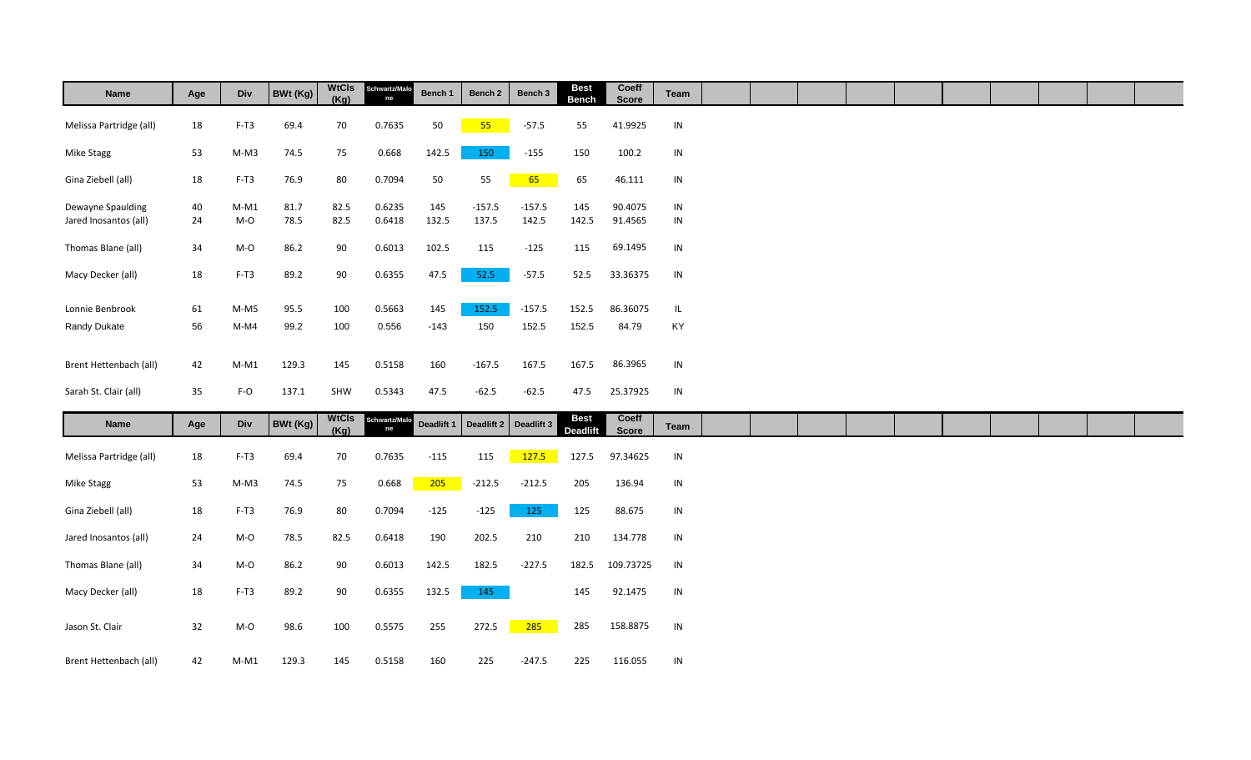| <b>Name</b>             | Age | Div    | <b>BWt (Kg)</b> | <b>WtCls</b><br>(Kg) | Schwartz/Malo<br>ne | Bench 1    | Bench 2  | Bench 3                 | <b>Best</b><br><b>Bench</b>    | Coeff<br><b>Score</b> | Team       |  |  |  |  |  |
|-------------------------|-----|--------|-----------------|----------------------|---------------------|------------|----------|-------------------------|--------------------------------|-----------------------|------------|--|--|--|--|--|
| Melissa Partridge (all) | 18  | $F-T3$ | 69.4            | 70                   | 0.7635              | 50         | 55       | $-57.5$                 | 55                             | 41.9925               | IN         |  |  |  |  |  |
| Mike Stagg              | 53  | $M-M3$ | 74.5            | $75\,$               | 0.668               | 142.5      | 150      | $-155$                  | 150                            | 100.2                 | ${\sf IN}$ |  |  |  |  |  |
|                         |     |        |                 |                      |                     |            |          |                         |                                |                       |            |  |  |  |  |  |
| Gina Ziebell (all)      | 18  | $F-T3$ | 76.9            | $80\,$               | 0.7094              | 50         | 55       | 65                      | 65                             | 46.111                | IN         |  |  |  |  |  |
| Dewayne Spaulding       | 40  | $M-M1$ | 81.7            | 82.5                 | 0.6235              | 145        | $-157.5$ | $-157.5$                | 145                            | 90.4075               | IN         |  |  |  |  |  |
| Jared Inosantos (all)   | 24  | $M-O$  | 78.5            | 82.5                 | 0.6418              | 132.5      | 137.5    | 142.5                   | 142.5                          | 91.4565               | IN         |  |  |  |  |  |
| Thomas Blane (all)      | 34  | $M-O$  | 86.2            | 90                   | 0.6013              | 102.5      | 115      | $-125$                  | 115                            | 69.1495               | IN         |  |  |  |  |  |
| Macy Decker (all)       | 18  | $F-T3$ | 89.2            | $90\,$               | 0.6355              | 47.5       | 52.5     | $-57.5$                 | 52.5                           | 33.36375              | IN         |  |  |  |  |  |
|                         |     |        |                 |                      |                     |            |          |                         |                                |                       |            |  |  |  |  |  |
| Lonnie Benbrook         | 61  | $M-M5$ | 95.5            | 100                  | 0.5663              | 145        | 152.5    | $-157.5$                | 152.5                          | 86.36075              | IL.        |  |  |  |  |  |
| Randy Dukate            | 56  | $M-M4$ | 99.2            | 100                  | 0.556               | $-143$     | 150      | 152.5                   | 152.5                          | 84.79                 | KY         |  |  |  |  |  |
|                         |     |        |                 |                      |                     |            |          |                         |                                |                       |            |  |  |  |  |  |
| Brent Hettenbach (all)  | 42  | $M-M1$ | 129.3           | 145                  | 0.5158              | 160        | $-167.5$ | 167.5                   | 167.5                          | 86.3965               | IN         |  |  |  |  |  |
|                         |     |        |                 |                      |                     |            |          |                         |                                |                       |            |  |  |  |  |  |
| Sarah St. Clair (all)   | 35  | $F-O$  | 137.1           | SHW                  | 0.5343              | 47.5       | $-62.5$  | $-62.5$                 | 47.5                           | 25.37925              | IN         |  |  |  |  |  |
| Name                    | Age | Div    | BWt (Kg)        | <b>WtCls</b><br>(Kg) | Schwartz/Malo<br>ne | Deadlift 1 |          | Deadlift 2   Deadlift 3 | <b>Best</b><br><b>Deadlift</b> | Coeff<br><b>Score</b> | Team       |  |  |  |  |  |
| Melissa Partridge (all) | 18  | $F-T3$ | 69.4            | 70                   | 0.7635              | $-115$     | 115      | 127.5                   | 127.5                          | 97.34625              | IN         |  |  |  |  |  |
|                         |     |        |                 |                      |                     |            |          |                         |                                |                       |            |  |  |  |  |  |
| Mike Stagg              | 53  | $M-M3$ | 74.5            | $75\,$               | 0.668               | 205        | $-212.5$ | $-212.5$                | 205                            | 136.94                | ${\sf IN}$ |  |  |  |  |  |
| Gina Ziebell (all)      | 18  | $F-T3$ | 76.9            | 80                   | 0.7094              | $-125$     | $-125$   | 125                     | 125                            | 88.675                | IN         |  |  |  |  |  |
| Jared Inosantos (all)   | 24  | $M-O$  | 78.5            | 82.5                 | 0.6418              | 190        | 202.5    | 210                     | 210                            | 134.778               | IN         |  |  |  |  |  |
|                         |     |        |                 |                      |                     |            |          |                         |                                |                       |            |  |  |  |  |  |
| Thomas Blane (all)      | 34  | M-O    | 86.2            | 90                   | 0.6013              | 142.5      | 182.5    | $-227.5$                | 182.5                          | 109.73725             | IN         |  |  |  |  |  |
| Macy Decker (all)       | 18  | $F-T3$ | 89.2            | 90                   | 0.6355              | 132.5      | 145      |                         | 145                            | 92.1475               | IN         |  |  |  |  |  |
|                         |     |        |                 |                      |                     |            |          |                         |                                |                       |            |  |  |  |  |  |
| Jason St. Clair         | 32  | $M-O$  | 98.6            | 100                  | 0.5575              | 255        | 272.5    | 285                     | 285                            | 158.8875              | ${\sf IN}$ |  |  |  |  |  |
| Brent Hettenbach (all)  | 42  | $M-M1$ | 129.3           | 145                  | 0.5158              | 160        | 225      | $-247.5$                | 225                            | 116.055               | IN         |  |  |  |  |  |